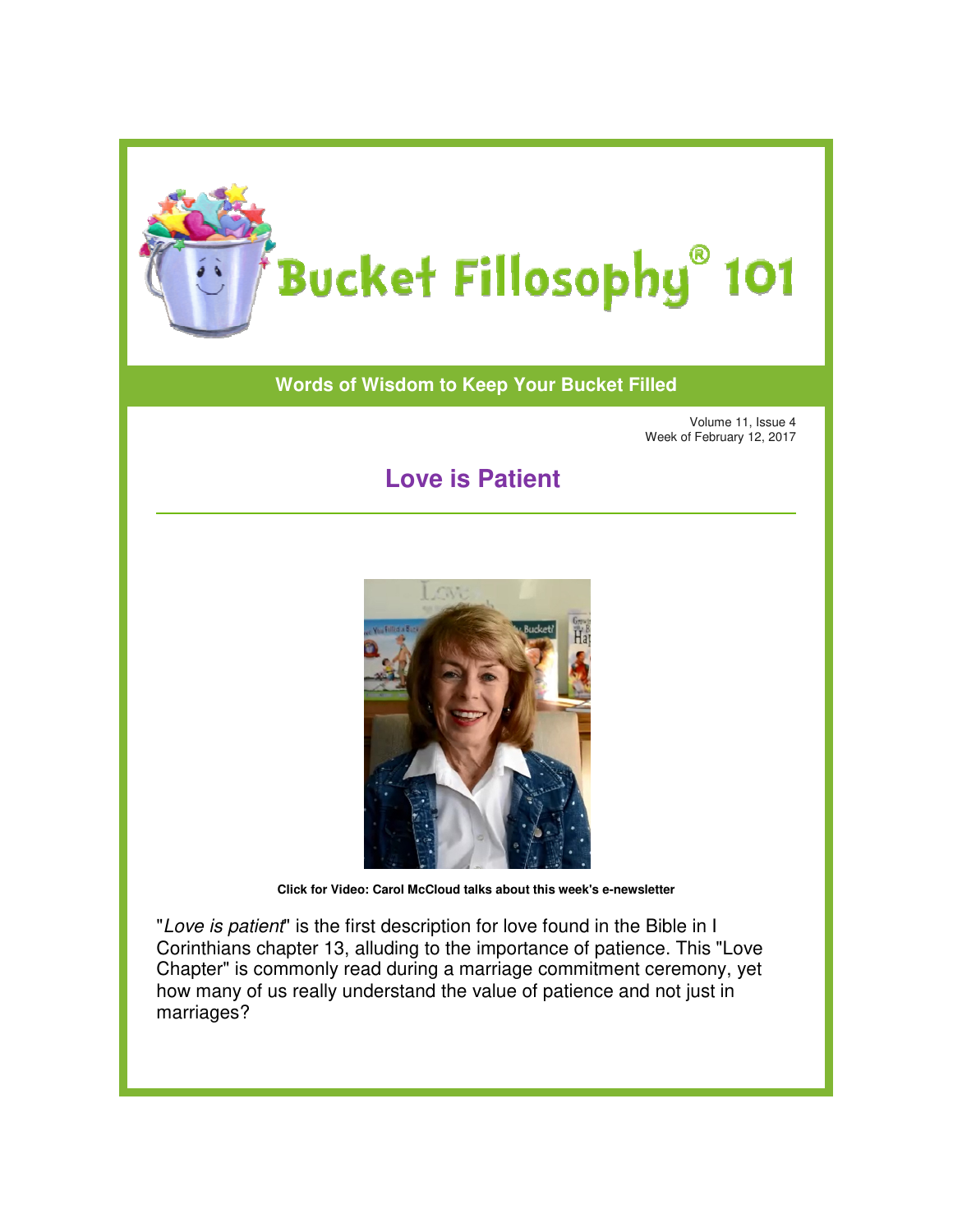

## **Words of Wisdom to Keep Your Bucket Filled of Wisdom to**

Volume 11, Issue 4 Week of February 12, 2017

## **Love is Patient**



**Click for Video: Carol McCloud talks about this week's e-newsletter** 

"Love is patient" is the first description for love found in the Bible in I Corinthians chapter 13, alluding to the importance of patience. This "Love Chapter" is commonly read during a marriage commitment ceremony, yet how many of us really understand the value of patience and not just in marriages?